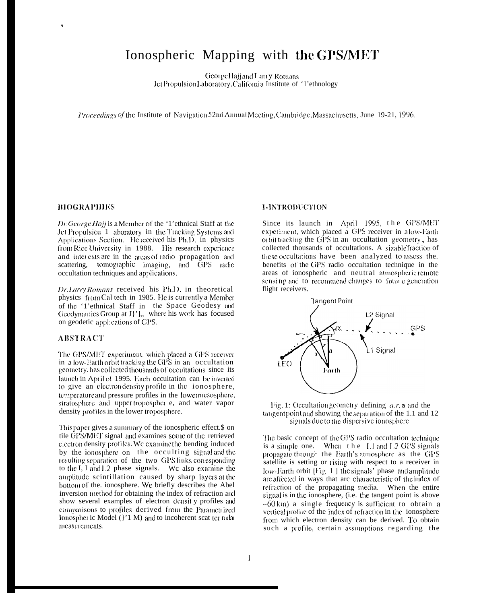# Ionospheric Mapping with the GPS/MET

George Hajjand Larry Rotuans JetPropulsionLaboratory, Califomia Institute of '1'ethnology

Proceedings of the Institute of Navigation 52nd Annual Meeting, Cambridge, Massachusetts, June 19-21, 1996.

#### **BIOGRAPHIES**

Dr. George Hajj is a Member of the '1' ethnical Staff at the Jet Propulsion 1 aboratory in the Tracking Systems and Applications Section. He received his Ph.D. in physics from Rice University in 1988. His research experience and interests are in the areas of radio propagation and scattering, tomographic imaging, and GPS radio occultation techniques and applications.

Dr. Larry Romans received his Ph.D. in theoretical physics from Cal tech in 1985. He is currently a Member of the '1'ethnical Staff in the Space Geodesy and Geodynamics Group at J'], where his work has focused on geodetic applications of GPS.

# **ABSTRACT**

The GPS/MET experiment, which placed a GPS receiver in a low-Earth orbit tracking the GPS in an occultation geometry, has collected thousands of occultations since its launch in April of 1995. Each occultation can be inverted to give an electron density profile in the ionosphere, temperature and pressure profiles in the lowermesosphere, stratosphere and upper-tropospher e, and water vapor density profiles in the lower troposphere.

This paper gives a summary of the ionospheric effect.\$ on tile GPS/MET signal and examines some of the retrieved electron density profiles. We examine the bending induced by the ionosphere on the occulting signal and the resulting separation of the two GPS links corresponding to the I, I and I.2 phase signals. We also examine the amplitude scintillation caused by sharp layers at the bottom of the, ionosphere. We briefly describes the Abel inversion method for obtaining the index of refraction and show several examples of electron density profiles and comparisons to profiles derived from the Parametrized Ionospher ic Model (}'1 M) and to incoherent scat ter radar measurements.

#### 1-INTRODUCTION

Since its launch in April 1995, the GPS/MET experiment, which placed a GPS receiver in alow-Earth orbit tracking the GPS in an occultation geometry, has collected thousands of occultations. A sizable fraction of these occultations have been analyzed to assess the. benefits of the GPS radio occultation technique in the areas of ionospheric and neutral atmospheric remote sensing and to recommend changes to future generation flight receivers.





The basic concept of the GPS radio occultation technique is a simple one. When the L1 and L2 GPS signals propagate through the Earth's atmosphere as the GPS satellite is setting or rising with respect to a receiver in low-Earth orbit [Fig. 1] the signals' phase and amplitude are affected in ways that arc characteristic of the index of refraction of the propagating media. When the entire signal is in the ionosphere, (i.e. the tangent point is above  $~60 \text{ km}$ ) a single frequency is sufficient to obtain a vertical profile of the index of refraction in the ionosphere from which electron density can be derived. To obtain such a profile, certain assumptions regarding the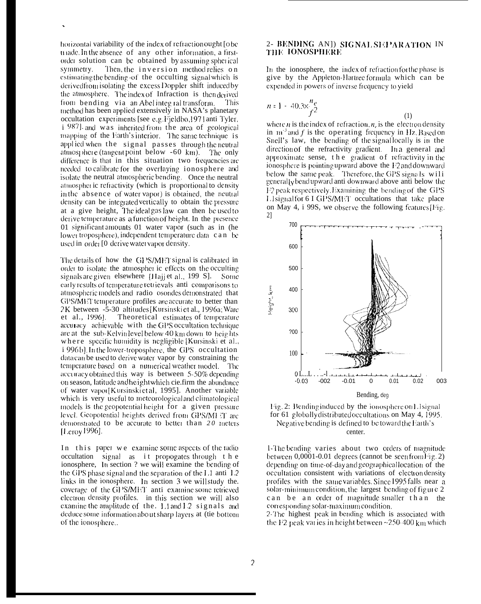horizontal variability of the index of refraction ought [obe] made. In the absence of any other information, a firstorder solution can be obtained by assuming spherical symmetry. Then, the inversion method relies on estimating the bending of the occulting signal which is derived from isolating the excess Doppler shift induced by the atmosphere. The index of Infraction is then derived from bending via an Abel integral transform. This method has been applied extensively in NASA's planetary occultation experiments [see e.g. Fjeldbo, 1971 anti Tyler, i 987], and was inherited from the area of geological mapping of the Earth's interior. The same technique is applied when the signal passes through the neutral atmosphere (tangent point below  $-60 \text{ km}$ ). The only difference is that in this situation two frequencies are needed to calibrate for the overlaying ionosphere and isolate the neutral atmospheric bending. Once the neutral atmospheric refractivity (which is proportional to density in the absence of water vapor) is obtained, the neutral density can be integrated vertically to obtain the pressure at a give height, The ideal gas law can then be used to derive temperature as a function of height. In the presence 01 significant amounts 01 water vapor (such as in (he lower troposphere), independent temperature data can be used in order [0 derive water vapor density.

The details of how the GPS/MET signal is calibrated in order to isolate the atmospher ic effects on the occulting signals are given elsewhere [Hajj et al., 199 S]. Some early results of temperature retrievals anti-comparisons to atmospheric models and radio osondes demonstrated that GPS/MET temperature profiles are accurate to better than 2K between -5-30 altitudes [Kursinskiet al., 1996a; Ware et al., 1996]. Theoretical estimates of temperature accuracy achievable with the GPS occultation technique are at the sub-Kelvin level below 40 km down to heights where specific humidity is negligible [Kursinski et al., i 996b]. In the lower-troposphere, the GPS occultation data can be used to derive water vapor by constraining the temperature based on a numerical weather model. The accuracy obtained this way is between 5-50% depending on season, latitude and he ight which cie. firm the abundance of water vapor Kursinski et al, 1995]. Another variable which is very useful to meteorological and climatological models is the geopotential height for a given pressure level. Geopotential heights derived from GPS/MFT are demonstrated to be accurate to better than 20 meters [Leroy 1996].

In this paper we examine some aspects of the radio occultation signal as it propogates through the ionosphere, In section ? we will examine the bending of the GPS phase signal and the separation of the L1 anti-1.2 links in the ionosphere. In section  $3$  we will study the. coverage of the GPS/MET anti-examine some retrieved electron density profiles. in this section we will also examine the amplitude of the. Lland I2 signals and deduce some information about sharp layers at (tie bottom of the ionosphere..

# 2- BENDING ANJ) SIGNAL SEPARATION IN THE IONOSPHERE

In the ionosphere, the index of refraction for the phase is give by the Appleton-Hartreeformula which can be expended in powers of inverse frequency to yield

$$
n = 1 - 40.3 \times \frac{n_e}{f^2}
$$
 (1)

where *n* is the index of refraction,  $n<sub>r</sub>$  is the electron density in  $m<sup>3</sup>$  and f is the operating frequency in Hz. Based on Snell's law, the bending of the signal locally is in the direction of the refractivity gradient. In a general and approximate sense, the gradient of refractivity in the ionosphere is pointing upward above the F2 and downward below the same peak. Therefore, the GPS signals will generally bendup ward anti-downward above anti-below the F2 peak respectively. Examining the bending of the GPS Lisignal for 6.1 GPS/MET occultations that take place on May 4, i 99S, we observe the following features [Fig.  $21$ 



Fig. 2: Bending induced by the ionosphere on Lisignal for 61 globally distributed occultations on May 4, 1995. Negative bending is defined to be toward the Earth's center.

1-The bending varies about two orders of magnitude between 0,0001-0.01 degrees (cannot be seen from Fig. 2) depending on time-of-day and geographical location of the occultation consistent with variations of electron density profiles with the same variables. Since 1995 falls near a solar-minimum condition, the largest bending of figure  $2$ can be an order of magnitude smaller than the corresponding solar-maximum condition.

2-The highest peak in bending which is associated with the  $F2$  peak varies in height between  $\sim$ 250-400 km which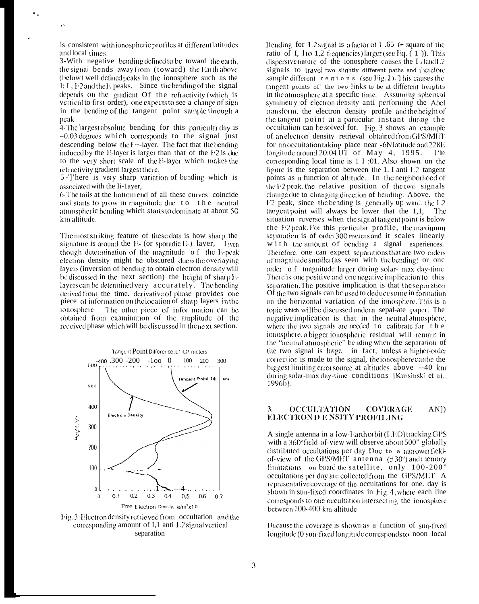is consistent with ionospheric profiles at different latitudes and local times.

3-With negative bending defined to be toward the earth, the signal bends away from (toward) the Earth above (below) well defined peaks in the ionosphere such as the I: I, I'2 and the E peaks. Since the bending of the signal depends on the gradient Of the refractivity (which is vertical to first order), one expects to see a change of signin the bending of the tangent point sample through a peak

4-The largest absolute bending for this particular day is  $-0.03$  degrees which corresponds to the signal just descending below the  $\mathbf{l}$  ~-layer. The fact that the bending induced by the E-layer is larger than that of the  $F2$  is due to the very short scale of the E-layer which makes the refractivity gradient largest there.

5-']'here is very sharp variation of bending which is associated with the Ii-1ayer,

6-The tails at the bottom end of all these curves coincide and starts to grow in magnitude due to the neutral atmospheric bending which starts to dominate at about 50 km altitude.

The most striking feature of these data is how sharp the signature is around the E- (or sporadic E-) layer,  $1$  iven though determination of the magnitude of the E-peak electron density might be obscured due to the overlaying layers (inversion of bending to obtain electron density will be discussed in the next section) the height of sharp Elayers can be determined very accurately. The bending derived from the time. derivative of phase provides one piece of information on the location of sharp layers in the ionosphere. The other piece of information can be obtained from examination of the amplitude of the received phase which will be discussed in the next section.



Fig. 3. Electron density retrieved from occultation and the corresponding amount of I,1 anti L2 signal vertical separation

Bending for 1.2 signal is a factor of 1.65 (= square of the ratio of I, 1 to 1,2 frequencies) larger (see Eq.  $(1)$ ). This dispersive nature of the ionosphere causes the I landL2 signals to travel two slightly different paths and therefore sample different  $r \in g$  i o n s (see Fig. 1). This causes the tangent points of the two links to be at different heights in the atmosphere at a specific time. Assuming spherical symmetry of electron density anti-performing the Abel transform, the electron density profile and the height of the tangent point at a particular instant during the occultation can be solved for. Fig. 3 shows an example of an electron density retrieval obtained from GPS/MET for an occultation taking place near -6N latitude and 228E longitude around  $20:04\overline{U}$  of May 4, 1995. 1 'he corresponding local time is 1 I :01. Also shown on the figure is the separation between the 1. I anti L2 tangent points as a function of altitude. In the neighborhood of the F2 peak, the relative position of the two signals change due to changing direction of bending. Above. the F2 peak, since the bending is generally up ward, the L2 tangent point will always be lower that the  $1,1,$ -The situation reverses when the signal tangent point is below the F2 peak. For this particular profile, the maximum separation is of order 300 meters and it scales linearly w i t h the amount of bending a signal experiences. Therefore, one can expect separations that are two orders of magnitude smaller (as seen with the bending) or one order of magnitude larger during solar-max day-time. There is one positive and one negative implication to this separation. The positive implication is that the separation Of the two signals can be used to deduce some in formation on the horizontal variation of the ionosphere. This is a topic which will be discussed under a sepal-ate paper. The negative implication is that in the neutral atmosphere, where the two signals are needed to calibrate for the ionosphere, a bigger ionospheric residual will remain in the "neutral atmospheric" bending when the separation of the two signal is large. in fact, unless a higher-order correction is made to the signal, the ionosphere can be the biggest limiting error source at altitudes above --40 km during solar-max day-time conditions [Kursinski et al., 1996b).

#### **OCCULTATION COVERAGE**  $AN$ ]) 3. ELECTRON D E NSITY PROFIL ING

A single antenna in a low-Earth orbit (LEO) tracking GPS with a 360° field-of-view will observe about 500" globally distributed occultations per day. Due to a narrower fieldof-view of the GPS/MET antenna  $(\pm 30^{\circ})$  and memory limitations on board the satellite, only 100-200" occultations per day are collected from the GPS/MET. A representative coverage of the occultations for one. day is shown in sun-fixed coordinates in Fig. 4, where each line corresponds to one occultation intersecting the ionosphere between 100-400 km altitude.

Because the coverage is shown as a function of sun-fixed longitude (0 sun-fixed longitude corresponds to noon local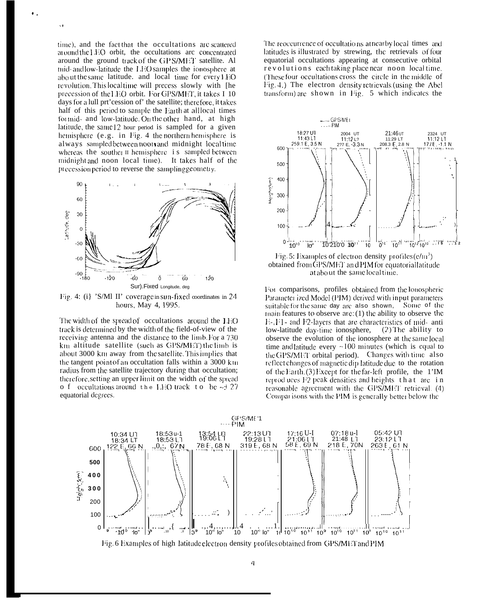time), and the fact that the occultations are scattered around the  $E$ O orbit, the occultations are concentrated around the ground track of the GPS/MET satellite. Al mid- and low-latitude the LEO samples the ionosphere at about the same latitude. and local time for every LEO revolution. This local time will precess slowly with [he precession of the LEO orbit. For GPS/MET, it takes I 10 days for a lull prt'cession of' the satellite; therefore, it takes half of this period to sample the Earth at all local times formid- and low-latitude. On the other hand, at high latitude, the same 12 hour period is sampled for a given hemisphere (e.g. in Fig. 4 the northern hemisphere is always sampled between noon and midnight local time whereas the souther II hemisphere is sampled between midnight and noon local time). It takes half of the precession period to reverse the sampling geometry.

٠.

 $\ddot{\phantom{0}}$ 



Fig. 4: (i) 'S/Ml II' coverage in sun-fixed coordinates in 24 hours, May 4, 1995.

The width of the spread of occultations around the 1HO track is determined by the width of the field-of-view of the receiving antenna and the distance to the limb For a 730 km altitude satellite (such as GPS/MET) the limb is about 3000 km away from the satellite. This implies that the tangent point of an occultation falls within a 3000 km radius from the satellite trajectory during that occultation; therefore, setting an upper limit on the width of the spread o f occultations around the LEO track to be  $\sim$  + 27 equatorial degrees.

The reoccurrence of occultations at nearby local times and latitudes is illustrated by strewing, the retrievals of four equatorial occultations appearing at consecutive orbital revolutions each taking place near noon local time. (These four occultations cross the circle in the middle of Fig. 4.) The electron density retrievals (using the Abel transform) are shown in Fig. 5 which indicates the



Fig. 5: Examples of electron density profiles  $(e/m^3)$ obtained from GPS/MET and PIM for equatorial latitude at about the same local time.

For comparisons, profiles obtained from the lonospheric Parameter ized Model (PIM) derived with input parameters suitable for the same day are also shown, Some of the  $\mu$  main features to observe are: (1) the ability to observe the  $E$ ,  $F1$  - and  $F2$ -layers that are characteristics of mid- anti low-latitude day-time ionosphere,  $(2)$  The ability to observe the evolution of the ionosphere at the same local time and latitude every  $\sim 100$  minutes (which is equal to the GPS/MET orbital period). Changes with time also reflect changes of magnetic dip latitude due to the rotation of the Earth. (3) Except for the far-left profile, the 1'IM reproduces F2 peak densities and heights that are in reasonable agreement with the GPS/MET retrieval. (4) Comparisons with the PIM is generally better below the

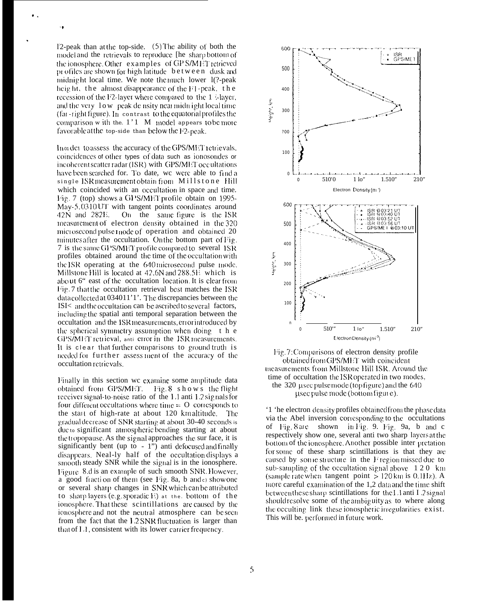12-peak than at the top-side.  $(5)$  The ability of both the model and the retrievals to reproduce [he sharp bottom of the ionosphere. Other examples of GP S/MET retrieved profiles are shown for high latitude between dusk and midnight local time. We note the much lower 1(?-peak height, the almost disappearance of the F1-peak, the recession of the F2-layer where compared to the 1 -layer, and the very low peak de nsity nearmidnight local time (far-right figure). In contrast to the equatorial profiles the comparison w ith the.  $1'1 \,$  M model appears to be more favorable at the top-side than below the F2-peak.

Inorder to assess the accuracy of the GPS/MET retrievals, coincidences of other types of data such as ionosondes or incoherent scatter radar (ISR) with GPS/MET occultations have been searched for. To date, we were able to find a single ISR measurement obtain from Millstone Hill which coincided with an occultation in space and time. Fig. 7 (top) shows a GPS/MET profile obtain on 1995-May-5,0310UT with tangent points coordinates around 42N and 282E. On the same figure is the ISR measurement of electron density obtained in the 320 mici osecond pulse thode of operation and obtained 20 minutes after the occultation. On the bottom part of Fig. 7 is the same GPS/MET profile compared to several ISR profiles obtained around the time of the occultation with the ISR operating at the 640 microsecond pulse mode. Millstone Hill is located at 42.6N and 288.5E which is about 6" east of the occultation location. It is clear from Fig. 7 that the occultation retrieval best matches the ISR data collected at 034011'1'. The discrepancies between the ISI< and the occultation can be ascribed to several factors, including the spatial anti-temporal separation between the occultation and the ISR measurements, error introduced by the spherical symmetry assumption when doing the GPS/MET retrieval, anti-error in the ISR measurements. It is clear that further comparisons to ground truth is needed for further assessment of the accuracy of the occultation retrievals.

Finally in this section we examine some amplitude data obtained from GPS/MET. Fig. 8 shows the flight receiver signal-to-noise ratio of the L1 anti L2 signals for four different occultations where time  $=$  O corresponds to the start of high-rate at about 120 km altitude. The gradual decrease of SNR starting at about 30-40 seconds is due to significant atmospheric bending starting at about the tropopause. As the signal approaches the sur face, it is significantly bent (up to - 1") anti-defocused and finally disappears. Neal-ly half of the occultation displays a smooth steady SNR while the signal is in the ionosphere. Figure 8.d is an example of such smooth SNR. However, a good fraction of them (see Fig. 8a, b and e show one or several sharp changes in SNR which can be attributed to sharp layers (e.g. sporadic  $E$ ) at the bottom of the ionosphere. That these scintillations are caused by the ionosphere and not the neutral atmosphere can be seen from the fact that the L2 SNR fluctuation is larger than that of L1, consistent with its lower carrier frequency.



Fig. 7: Comparisons of electron density profile obtained from GPS/MET with coincident measurements from Millstone Hill ISR. Around the time of occultation the ISR operated in two modes, the 320 usec pulse mode (top figure) and the  $640$ usec pulse mode (bottom figure).

1 the electron density profiles obtained from the phase data via the Abel inversion corresponding to the occultations of Fig. 8 are shown in Fig. 9. Fig. 9a, b and c respectively show one, several anti two sharp layers at the bottom of the ionosphere. Another possible inter pretation for some of these sharp scintillations is that they are caused by some structure in the Fregion missed due to sub-sampling of the occultation signal above  $120 \;$  km (sample rate when tangent point  $> 120$  km is 0.1Hz). A more careful examination of the 1,2 data and the time shift between these sharp scintillations for the L1 anti L2 signal should resolve some of the ambiguity as to where along the occulting link these ionospheric irregularities exist. This will be, performed in future work.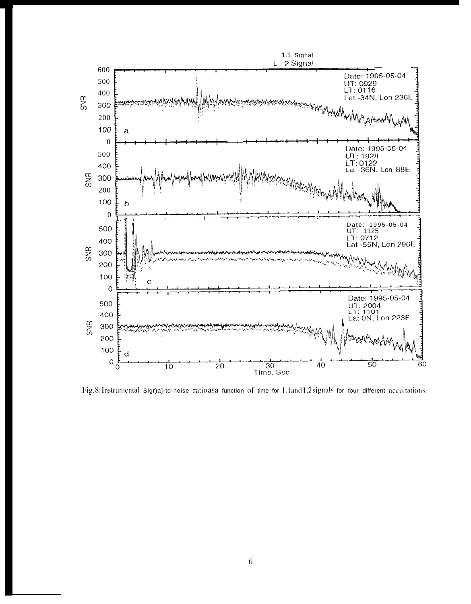

Fig.8:Instrumental Sigr)a]-to-noise ratioasa function of time for L1andL2signals for four different occultations.